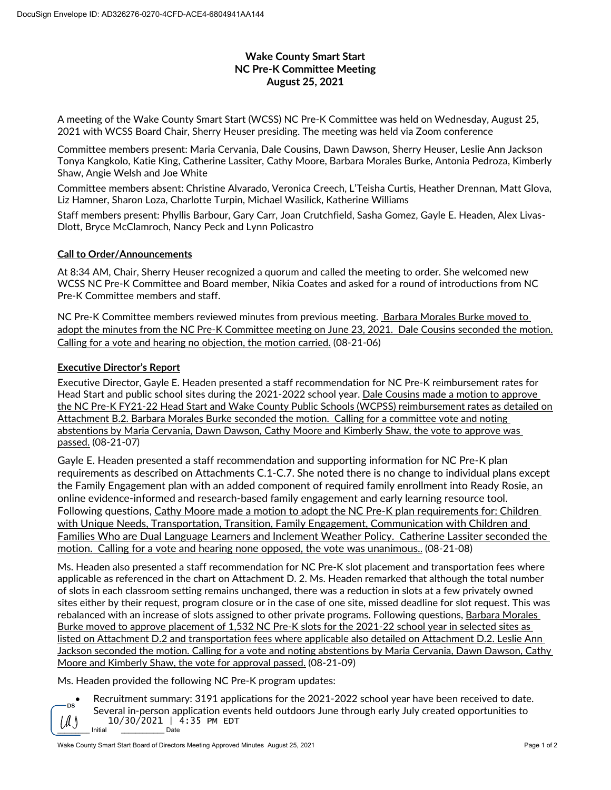## **Wake County Smart Start NC Pre-K Committee Meeting August 25, 2021**

A meeting of the Wake County Smart Start (WCSS) NC Pre-K Committee was held on Wednesday, August 25, 2021 with WCSS Board Chair, Sherry Heuser presiding. The meeting was held via Zoom conference

Committee members present: Maria Cervania, Dale Cousins, Dawn Dawson, Sherry Heuser, Leslie Ann Jackson Tonya Kangkolo, Katie King, Catherine Lassiter, Cathy Moore, Barbara Morales Burke, Antonia Pedroza, Kimberly Shaw, Angie Welsh and Joe White

Committee members absent: Christine Alvarado, Veronica Creech, L'Teisha Curtis, Heather Drennan, Matt Glova, Liz Hamner, Sharon Loza, Charlotte Turpin, Michael Wasilick, Katherine Williams

Staff members present: Phyllis Barbour, Gary Carr, Joan Crutchfield, Sasha Gomez, Gayle E. Headen, Alex Livas-Dlott, Bryce McClamroch, Nancy Peck and Lynn Policastro

## **Call to Order/Announcements**

At 8:34 AM, Chair, Sherry Heuser recognized a quorum and called the meeting to order. She welcomed new WCSS NC Pre-K Committee and Board member, Nikia Coates and asked for a round of introductions from NC Pre-K Committee members and staff.

NC Pre-K Committee members reviewed minutes from previous meeting. Barbara Morales Burke moved to adopt the minutes from the NC Pre-K Committee meeting on June 23, 2021. Dale Cousins seconded the motion. Calling for a vote and hearing no objection, the motion carried. (08-21-06)

## **Executive Director's Report**

Executive Director, Gayle E. Headen presented a staff recommendation for NC Pre-K reimbursement rates for Head Start and public school sites during the 2021-2022 school year. Dale Cousins made a motion to approve the NC Pre-K FY21-22 Head Start and Wake County Public Schools (WCPSS) reimbursement rates as detailed on Attachment B.2. Barbara Morales Burke seconded the motion. Calling for a committee vote and noting abstentions by Maria Cervania, Dawn Dawson, Cathy Moore and Kimberly Shaw, the vote to approve was passed. (08-21-07)

Gayle E. Headen presented a staff recommendation and supporting information for NC Pre-K plan requirements as described on Attachments C.1-C.7. She noted there is no change to individual plans except the Family Engagement plan with an added component of required family enrollment into Ready Rosie, an online evidence-informed and research-based family engagement and early learning resource tool. Following questions, Cathy Moore made a motion to adopt the NC Pre-K plan requirements for: Children with Unique Needs, Transportation, Transition, Family Engagement, Communication with Children and Families Who are Dual Language Learners and Inclement Weather Policy. Catherine Lassiter seconded the motion. Calling for a vote and hearing none opposed, the vote was unanimous.. (08-21-08)

Ms. Headen also presented a staff recommendation for NC Pre-K slot placement and transportation fees where applicable as referenced in the chart on Attachment D. 2. Ms. Headen remarked that although the total number of slots in each classroom setting remains unchanged, there was a reduction in slots at a few privately owned sites either by their request, program closure or in the case of one site, missed deadline for slot request. This was rebalanced with an increase of slots assigned to other private programs. Following questions, Barbara Morales Burke moved to approve placement of 1,532 NC Pre-K slots for the 2021-22 school year in selected sites as listed on Attachment D.2 and transportation fees where applicable also detailed on Attachment D.2. Leslie Ann Jackson seconded the motion. Calling for a vote and noting abstentions by Maria Cervania, Dawn Dawson, Cathy Moore and Kimberly Shaw, the vote for approval passed. (08-21-09)

Ms. Headen provided the following NC Pre-K program updates:



\_\_\_\_\_\_\_\_\_ Initial \_\_\_\_\_\_\_\_\_\_\_\_ Date • Recruitment summary: 3191 applications for the 2021-2022 school year have been received to date. Several in-person application events held outdoors June through early July created opportunities to  $10/30/2021$  | 4:35 PM EDT